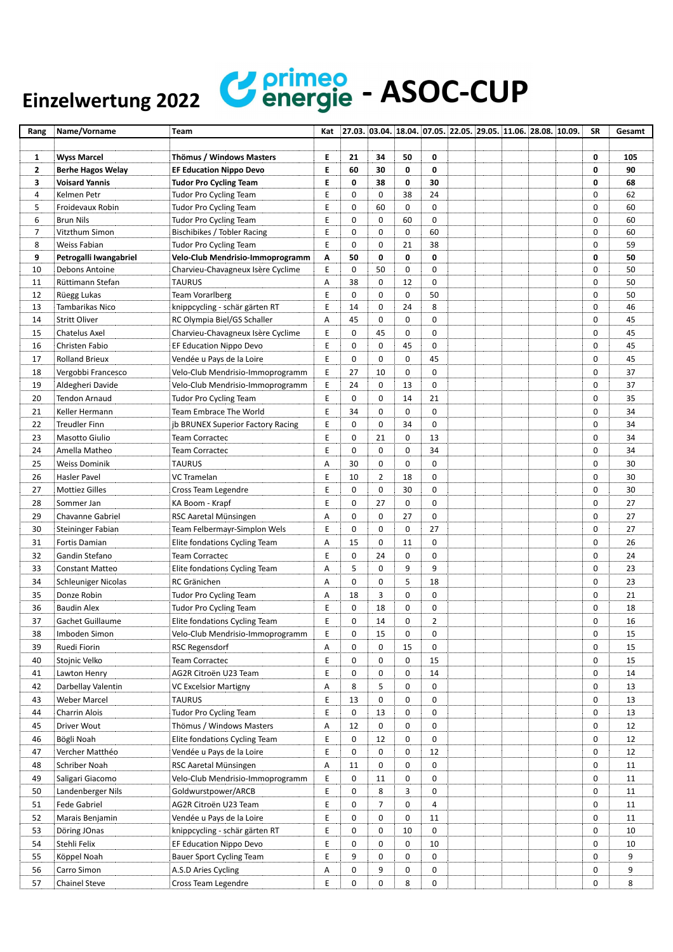## Einzelwertung 2022 **Confirmed** - ASOC-CUP

| Rang                    | Name/Vorname             | Team                              | Kat | $[27.03, 03.04, 18.04, 07.05, 22.05, 29.05, 11.06, 28.08, 10.09.$ |                |             |                |  |  | <b>SR</b>   | Gesamt |
|-------------------------|--------------------------|-----------------------------------|-----|-------------------------------------------------------------------|----------------|-------------|----------------|--|--|-------------|--------|
|                         |                          |                                   |     |                                                                   |                |             |                |  |  |             |        |
| 1                       | <b>Wyss Marcel</b>       | Thömus / Windows Masters          | Е   | 21                                                                | 34             | 50          | 0              |  |  | 0           | 105    |
| $\overline{\mathbf{2}}$ | <b>Berhe Hagos Welay</b> | <b>EF Education Nippo Devo</b>    | E   | 60                                                                | 30             | 0           | 0              |  |  | 0           | 90     |
| 3                       | <b>Voisard Yannis</b>    | <b>Tudor Pro Cycling Team</b>     | E   | 0                                                                 | 38             | 0           | 30             |  |  | 0           | 68     |
| 4                       | Kelmen Petr              | <b>Tudor Pro Cycling Team</b>     | E   | 0                                                                 | $\mathbf 0$    | 38          | 24             |  |  | 0           | 62     |
| 5                       | Froidevaux Robin         | <b>Tudor Pro Cycling Team</b>     | E   | 0                                                                 | 60             | 0           | 0              |  |  | 0           | 60     |
| 6                       | <b>Brun Nils</b>         | <b>Tudor Pro Cycling Team</b>     | E   | 0                                                                 | $\mathbf 0$    | 60          | 0              |  |  | $\mathbf 0$ | 60     |
| $\overline{7}$          | Vitzthum Simon           | Bischibikes / Tobler Racing       | E   | 0                                                                 | 0              | 0           | 60             |  |  | $\mathbf 0$ | 60     |
| 8                       | Weiss Fabian             | <b>Tudor Pro Cycling Team</b>     | Ε   | 0                                                                 | 0              | 21          | 38             |  |  | 0           | 59     |
| 9                       | Petrogalli Iwangabriel   | Velo-Club Mendrisio-Immoprogramm  | Α   | 50                                                                | 0              | 0           | 0              |  |  | 0           | 50     |
| 10                      | Debons Antoine           | Charvieu-Chavagneux Isère Cyclime | E   | 0                                                                 | 50             | 0           | 0              |  |  | 0           | 50     |
| 11                      | Rüttimann Stefan         | <b>TAURUS</b>                     | А   | 38                                                                | 0              | 12          | 0              |  |  | 0           | 50     |
| 12                      | Rüegg Lukas              | <b>Team Vorarlberg</b>            | Ε   | 0                                                                 | 0              | 0           | 50             |  |  | 0           | 50     |
| 13                      | Tambarikas Nico          | knippcycling - schär gärten RT    | E   | 14                                                                | 0              | 24          | 8              |  |  | 0           | 46     |
| 14                      | <b>Stritt Oliver</b>     | RC Olympia Biel/GS Schaller       | Α   | 45                                                                | 0              | 0           | 0              |  |  | 0           | 45     |
| 15                      | Chatelus Axel            | Charvieu-Chavagneux Isère Cyclime | Ε   | 0                                                                 | 45             | 0           | 0              |  |  | 0           | 45     |
| 16                      | Christen Fabio           | EF Education Nippo Devo           | Е   | 0                                                                 | 0              | 45          | 0              |  |  | 0           | 45     |
| 17                      | <b>Rolland Brieux</b>    | Vendée u Pays de la Loire         | Е   | 0                                                                 | 0              | 0           | 45             |  |  | 0           | 45     |
| 18                      | Vergobbi Francesco       | Velo-Club Mendrisio-Immoprogramm  | E   | 27                                                                | 10             | 0           | 0              |  |  | 0           | 37     |
| 19                      | Aldegheri Davide         | Velo-Club Mendrisio-Immoprogramm  | E   | 24                                                                | $\mathbf 0$    | 13          | 0              |  |  | 0           | 37     |
| 20                      | Tendon Arnaud            | <b>Tudor Pro Cycling Team</b>     | Ε   | 0                                                                 | 0              | 14          | 21             |  |  | 0           | 35     |
| 21                      | Keller Hermann           | Team Embrace The World            | E   | 34                                                                | 0              | 0           | 0              |  |  | 0           | 34     |
| 22                      | <b>Treudler Finn</b>     | jb BRUNEX Superior Factory Racing | Е   | 0                                                                 | 0              | 34          | 0              |  |  | 0           | 34     |
| 23                      | <b>Masotto Giulio</b>    | <b>Team Corractec</b>             | Е   | 0                                                                 | 21             | 0           | 13             |  |  | 0           | 34     |
| 24                      | Amella Matheo            | <b>Team Corractec</b>             | E   | 0                                                                 | 0              | 0           | 34             |  |  | 0           | 34     |
| 25                      | <b>Weiss Dominik</b>     | <b>TAURUS</b>                     | Α   | 30                                                                | 0              | 0           | 0              |  |  | 0           | 30     |
| 26                      | Hasler Pavel             | <b>VC Tramelan</b>                | E   | 10                                                                | $\overline{2}$ | 18          | 0              |  |  | 0           | 30     |
| 27                      | <b>Mottiez Gilles</b>    | Cross Team Legendre               | E   | 0                                                                 | 0              | 30          | 0              |  |  | 0           | 30     |
| 28                      | Sommer Jan               | KA Boom - Krapf                   | Ε   | 0                                                                 | 27             | 0           | 0              |  |  | 0           | 27     |
| 29                      | Chavanne Gabriel         | RSC Aaretal Münsingen             | Α   | 0                                                                 | 0              | 27          | 0              |  |  | 0           | 27     |
| 30                      | Steininger Fabian        | Team Felbermayr-Simplon Wels      | Ε   | 0                                                                 | 0              | 0           | 27             |  |  | 0           | 27     |
| 31                      | Fortis Damian            | Elite fondations Cycling Team     | Α   | 15                                                                | 0              | 11          | 0              |  |  | 0           | 26     |
| 32                      | Gandin Stefano           | <b>Team Corractec</b>             | E   | 0                                                                 | 24             | 0           | 0              |  |  | 0           | 24     |
| 33                      | <b>Constant Matteo</b>   | Elite fondations Cycling Team     | Α   | 5                                                                 | 0              | 9           | 9              |  |  | 0           | 23     |
| 34                      | Schleuniger Nicolas      | RC Gränichen                      | А   | 0                                                                 | $\mathbf 0$    | 5           | 18             |  |  | 0           | 23     |
| 35                      | Donze Robin              | <b>Tudor Pro Cycling Team</b>     | Α   | 18                                                                | 3              | 0           | 0              |  |  | 0           | 21     |
| 36                      | <b>Baudin Alex</b>       | <b>Tudor Pro Cycling Team</b>     | E   | 0                                                                 | 18             | 0           | 0              |  |  | 0           | 18     |
| 37                      | <b>Gachet Guillaume</b>  | Elite fondations Cycling Team     | E   | $\mathbf 0$                                                       | 14             | $\mathbf 0$ | $\overline{2}$ |  |  | 0           | 16     |
| 38                      | Imboden Simon            | Velo-Club Mendrisio-Immoprogramm  | Ε   | 0                                                                 | 15             | 0           | 0              |  |  | 0           | 15     |
| 39                      | Ruedi Fiorin             | RSC Regensdorf                    | Α   | 0                                                                 | 0              | 15          | 0              |  |  | 0           | 15     |
|                         |                          |                                   |     | 0                                                                 | 0              | 0           |                |  |  | 0           |        |
| 40                      | Stojnic Velko            | Team Corractec                    | Ε   |                                                                   |                |             | 15             |  |  |             | 15     |
| 41                      | Lawton Henry             | AG2R Citroën U23 Team             | Ε   | 0                                                                 | 0              | 0           | 14             |  |  | 0           | 14     |
| 42                      | Darbellay Valentin       | VC Excelsior Martigny             | Α   | 8                                                                 | 5              | 0           | 0              |  |  | 0           | 13     |
| 43                      | Weber Marcel             | <b>TAURUS</b>                     | Ε   | 13                                                                | 0              | 0           | 0              |  |  | 0           | 13     |
| 44                      | Charrin Alois            | <b>Tudor Pro Cycling Team</b>     | E   | 0                                                                 | 13             | 0           | 0              |  |  | 0           | 13     |
| 45                      | Driver Wout              | Thömus / Windows Masters          | А   | 12                                                                | 0              | 0           | 0              |  |  | 0           | 12     |
| 46                      | Bögli Noah               | Elite fondations Cycling Team     | Ε   | 0                                                                 | 12             | 0           | 0              |  |  | 0           | 12     |
| 47                      | Vercher Matthéo          | Vendée u Pays de la Loire         | Ε   | 0                                                                 | 0              | 0           | 12             |  |  | 0           | 12     |
| 48                      | Schriber Noah            | RSC Aaretal Münsingen             | Α   | 11                                                                | 0              | 0           | 0              |  |  | 0           | 11     |
| 49                      | Saligari Giacomo         | Velo-Club Mendrisio-Immoprogramm  | Ε   | 0                                                                 | 11             | 0           | 0              |  |  | 0           | 11     |
| 50                      | Landenberger Nils        | Goldwurstpower/ARCB               | Ε   | 0                                                                 | 8              | 3           | 0              |  |  | 0           | 11     |
| 51                      | Fede Gabriel             | AG2R Citroën U23 Team             | E   | 0                                                                 | 7              | 0           | 4              |  |  | 0           | 11     |
| 52                      | Marais Benjamin          | Vendée u Pays de la Loire         | E   | 0                                                                 | 0              | 0           | 11             |  |  | 0           | 11     |
| 53                      | Döring JOnas             | knippcycling - schär gärten RT    | Ε   | 0                                                                 | 0              | 10          | 0              |  |  | 0           | 10     |
| 54                      | Stehli Felix             | EF Education Nippo Devo           | Ε   | 0                                                                 | 0              | 0           | 10             |  |  | 0           | 10     |
| 55                      | Köppel Noah              | Bauer Sport Cycling Team          | Ε   | 9                                                                 | 0              | 0           | 0              |  |  | 0           | 9      |
| 56                      | Carro Simon              | A.S.D Aries Cycling               | Α   | 0                                                                 | 9              | 0           | 0              |  |  | 0           | 9      |
| 57                      | Chainel Steve            | Cross Team Legendre               | Ε   | 0                                                                 | 0              | 8           | 0              |  |  | 0           | 8      |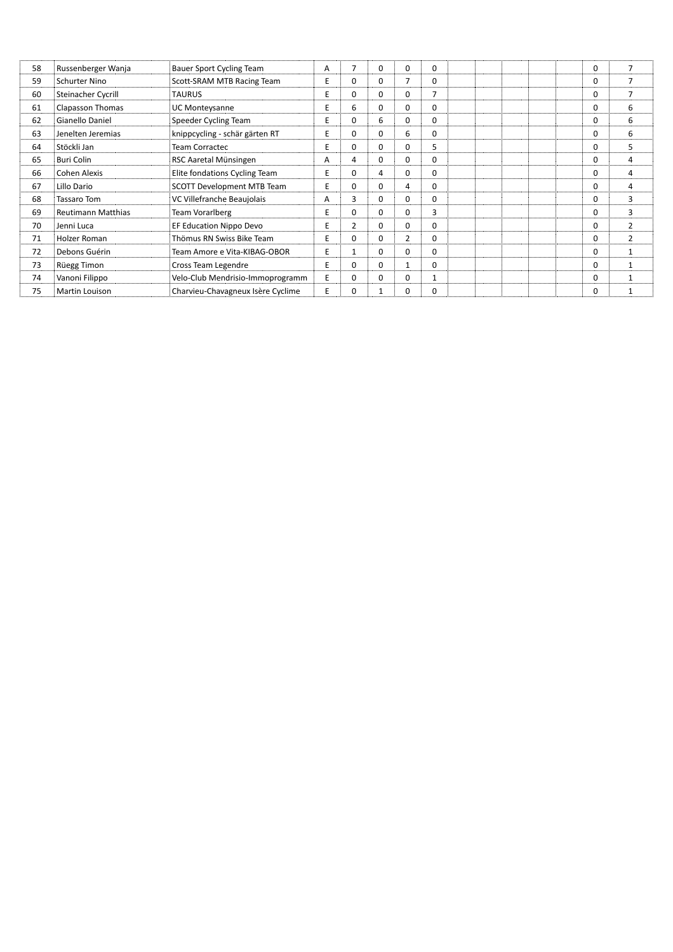| 58 | Russenberger Wanja        | <b>Bauer Sport Cycling Team</b>   | A | 7              | $\Omega$ | $\Omega$ | 0              |  | $\Omega$ | $\overline{7}$ |
|----|---------------------------|-----------------------------------|---|----------------|----------|----------|----------------|--|----------|----------------|
| 59 | Schurter Nino             | Scott-SRAM MTB Racing Team        | E | $\Omega$       | $\Omega$ | 7        | 0              |  | 0        | 7              |
| 60 | Steinacher Cycrill        | <b>TAURUS</b>                     | E | $\Omega$       | $\Omega$ | $\Omega$ | $\overline{ }$ |  | 0        | 7              |
| 61 | <b>Clapasson Thomas</b>   | <b>UC Monteysanne</b>             | E | 6              | $\Omega$ | $\Omega$ | $\Omega$       |  | 0        | 6              |
| 62 | Gianello Daniel           | Speeder Cycling Team              | E | $\Omega$       | 6        | $\Omega$ | $\Omega$       |  | 0        | 6              |
| 63 | Jenelten Jeremias         | knippcycling - schär gärten RT    | E | $\Omega$       | $\Omega$ | 6        | $\Omega$       |  | 0        | 6              |
| 64 | Stöckli Jan               | Team Corractec                    | E | 0              | $\Omega$ | 0        | 5              |  | 0        | 5              |
| 65 | Buri Colin                | RSC Aaretal Münsingen             | A | 4              | $\Omega$ | 0        | 0              |  | 0        | 4              |
| 66 | Cohen Alexis              | Elite fondations Cycling Team     | E | $\Omega$       | 4        | $\Omega$ | 0              |  | $\Omega$ | 4              |
| 67 | Lillo Dario               | <b>SCOTT Development MTB Team</b> | E | $\Omega$       | $\Omega$ | 4        | 0              |  | 0        | 4              |
| 68 | Tassaro Tom               | VC Villefranche Beaujolais        | A | 3              | $\Omega$ | $\Omega$ | 0              |  | 0        | 3              |
| 69 | <b>Reutimann Matthias</b> | Team Vorarlberg                   | E | $\Omega$       | $\Omega$ | $\Omega$ | 3              |  | 0        | 3              |
| 70 | Jenni Luca                | EF Education Nippo Devo           | E | $\overline{2}$ | $\Omega$ | $\Omega$ | $\Omega$       |  | $\Omega$ | $\overline{2}$ |
| 71 | Holzer Roman              | Thömus RN Swiss Bike Team         | E | $\Omega$       | $\Omega$ | 2        | $\Omega$       |  | 0        | $\overline{2}$ |
| 72 | Debons Guérin             | Team Amore e Vita-KIBAG-OBOR      | E | $\mathbf{1}$   | $\Omega$ | $\Omega$ | $\Omega$       |  | 0        |                |
| 73 | Rüegg Timon               | Cross Team Legendre               | E | $\Omega$       | $\Omega$ | 1        | 0              |  | $\Omega$ |                |
| 74 | Vanoni Filippo            | Velo-Club Mendrisio-Immoprogramm  | E | $\Omega$       | $\Omega$ | 0        |                |  | 0        |                |
| 75 | Martin Louison            | Charvieu-Chavagneux Isère Cyclime | E | 0              |          | 0        | 0              |  | $\Omega$ |                |